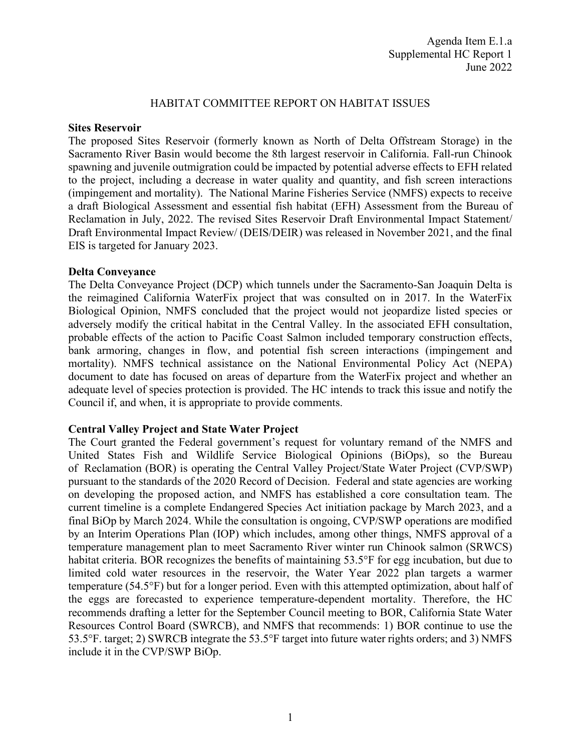### HABITAT COMMITTEE REPORT ON HABITAT ISSUES

#### **Sites Reservoir**

The proposed Sites Reservoir (formerly known as North of Delta Offstream Storage) in the Sacramento River Basin would become the 8th largest reservoir in California. Fall-run Chinook spawning and juvenile outmigration could be impacted by potential adverse effects to EFH related to the project, including a decrease in water quality and quantity, and fish screen interactions (impingement and mortality). The National Marine Fisheries Service (NMFS) expects to receive a draft Biological Assessment and essential fish habitat (EFH) Assessment from the Bureau of Reclamation in July, 2022. The revised Sites Reservoir Draft Environmental Impact Statement/ Draft Environmental Impact Review/ (DEIS/DEIR) was released in November 2021, and the final EIS is targeted for January 2023.

### **Delta Conveyance**

The Delta Conveyance Project (DCP) which tunnels under the Sacramento-San Joaquin Delta is the reimagined California WaterFix project that was consulted on in 2017. In the WaterFix Biological Opinion, NMFS concluded that the project would not jeopardize listed species or adversely modify the critical habitat in the Central Valley. In the associated EFH consultation, probable effects of the action to Pacific Coast Salmon included temporary construction effects, bank armoring, changes in flow, and potential fish screen interactions (impingement and mortality). NMFS technical assistance on the National Environmental Policy Act (NEPA) document to date has focused on areas of departure from the WaterFix project and whether an adequate level of species protection is provided. The HC intends to track this issue and notify the Council if, and when, it is appropriate to provide comments.

# **Central Valley Project and State Water Project**

The Court granted the Federal government's request for voluntary remand of the NMFS and United States Fish and Wildlife Service Biological Opinions (BiOps), so the Bureau of Reclamation (BOR) is operating the Central Valley Project/State Water Project (CVP/SWP) pursuant to the standards of the 2020 Record of Decision. Federal and state agencies are working on developing the proposed action, and NMFS has established a core consultation team. The current timeline is a complete Endangered Species Act initiation package by March 2023, and a final BiOp by March 2024. While the consultation is ongoing, CVP/SWP operations are modified by an Interim Operations Plan (IOP) which includes, among other things, NMFS approval of a temperature management plan to meet Sacramento River winter run Chinook salmon (SRWCS) habitat criteria. BOR recognizes the benefits of maintaining 53.5°F for egg incubation, but due to limited cold water resources in the reservoir, the Water Year 2022 plan targets a warmer temperature (54.5°F) but for a longer period. Even with this attempted optimization, about half of the eggs are forecasted to experience temperature-dependent mortality. Therefore, the HC recommends drafting a letter for the September Council meeting to BOR, California State Water Resources Control Board (SWRCB), and NMFS that recommends: 1) BOR continue to use the 53.5°F. target; 2) SWRCB integrate the 53.5°F target into future water rights orders; and 3) NMFS include it in the CVP/SWP BiOp.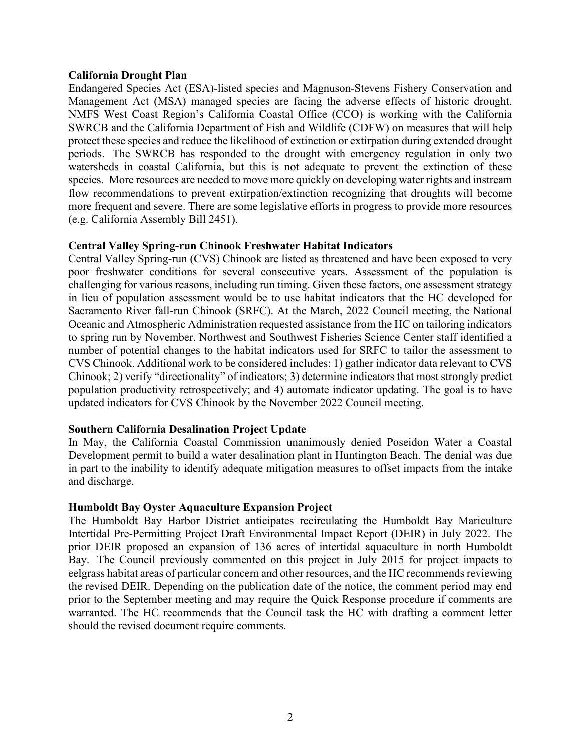#### **California Drought Plan**

Endangered Species Act (ESA)-listed species and Magnuson-Stevens Fishery Conservation and Management Act (MSA) managed species are facing the adverse effects of historic drought. NMFS West Coast Region's California Coastal Office (CCO) is working with the California SWRCB and the California Department of Fish and Wildlife (CDFW) on measures that will help protect these species and reduce the likelihood of extinction or extirpation during extended drought periods. The SWRCB has responded to the drought with emergency regulation in only two watersheds in coastal California, but this is not adequate to prevent the extinction of these species. More resources are needed to move more quickly on developing water rights and instream flow recommendations to prevent extirpation/extinction recognizing that droughts will become more frequent and severe. There are some legislative efforts in progress to provide more resources (e.g. California Assembly Bill 2451).

# **Central Valley Spring-run Chinook Freshwater Habitat Indicators**

Central Valley Spring-run (CVS) Chinook are listed as threatened and have been exposed to very poor freshwater conditions for several consecutive years. Assessment of the population is challenging for various reasons, including run timing. Given these factors, one assessment strategy in lieu of population assessment would be to use habitat indicators that the HC developed for Sacramento River fall-run Chinook (SRFC). At the March, 2022 Council meeting, the National Oceanic and Atmospheric Administration requested assistance from the HC on tailoring indicators to spring run by November. Northwest and Southwest Fisheries Science Center staff identified a number of potential changes to the habitat indicators used for SRFC to tailor the assessment to CVS Chinook. Additional work to be considered includes: 1) gather indicator data relevant to CVS Chinook; 2) verify "directionality" of indicators; 3) determine indicators that most strongly predict population productivity retrospectively; and 4) automate indicator updating. The goal is to have updated indicators for CVS Chinook by the November 2022 Council meeting.

# **Southern California Desalination Project Update**

In May, the California Coastal Commission unanimously denied Poseidon Water a Coastal Development permit to build a water desalination plant in Huntington Beach. The denial was due in part to the inability to identify adequate mitigation measures to offset impacts from the intake and discharge.

# **Humboldt Bay Oyster Aquaculture Expansion Project**

The Humboldt Bay Harbor District anticipates recirculating the Humboldt Bay Mariculture Intertidal Pre-Permitting Project Draft Environmental Impact Report (DEIR) in July 2022. The prior DEIR proposed an expansion of 136 acres of intertidal aquaculture in north Humboldt Bay. The Council previously commented on this project in July 2015 for project impacts to eelgrass habitat areas of particular concern and other resources, and the HC recommends reviewing the revised DEIR. Depending on the publication date of the notice, the comment period may end prior to the September meeting and may require the Quick Response procedure if comments are warranted. The HC recommends that the Council task the HC with drafting a comment letter should the revised document require comments.